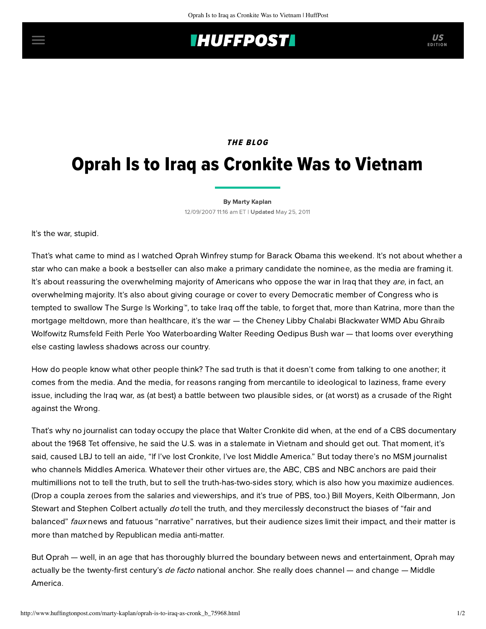## **THUFFPOST**

### **THE BLOG**

# Oprah Is to Iraq as Cronkite Was to Vietnam

[By Marty Kaplan](http://www.huffingtonpost.com/author/marty-kaplan) 12/09/2007 11:16 am ET | Updated May 25, 2011

It's the war, stupid.

That's what came to mind as I watched Oprah Winfrey stump for Barack Obama this weekend. It's not about whether a star who can make a book a bestseller can also make a primary candidate the nominee, as the media are framing it. It's about reassuring the overwhelming majority of Americans who oppose the war in Iraq that they are, in fact, an overwhelming majority. It's also about giving courage or cover to every Democratic member of Congress who is tempted to swallow The Surge Is Working™, to take Iraq off the table, to forget that, more than Katrina, more than the mortgage meltdown, more than healthcare, it's the war — the Cheney Libby Chalabi Blackwater WMD Abu Ghraib Wolfowitz Rumsfeld Feith Perle Yoo Waterboarding Walter Reeding Oedipus Bush war — that looms over everything else casting lawless shadows across our country.

How do people know what other people think? The sad truth is that it doesn't come from talking to one another; it comes from the media. And the media, for reasons ranging from mercantile to ideological to laziness, frame every issue, including the Iraq war, as (at best) a battle between two plausible sides, or (at worst) as a crusade of the Right against the Wrong.

That's why no journalist can today occupy the place that Walter Cronkite did when, at the end of a CBS documentary about the 1968 Tet offensive, he said the U.S. was in a stalemate in Vietnam and should get out. That moment, it's said, caused LBJ to tell an aide, "If I've lost Cronkite, I've lost Middle America." But today there's no MSM journalist who channels Middles America. Whatever their other virtues are, the ABC, CBS and NBC anchors are paid their multimillions not to tell the truth, but to sell the truth-has-two-sides story, which is also how you maximize audiences. (Drop a coupla zeroes from the salaries and viewerships, and it's true of PBS, too.) Bill Moyers, Keith Olbermann, Jon Stewart and Stephen Colbert actually do tell the truth, and they mercilessly deconstruct the biases of "fair and balanced" faux news and fatuous ["narrative"](http://www.huffingtonpost.com/marty-kaplan/the-narrative-narrative_b_73167.html) narratives, but their audience sizes limit their impact, and their matter is more than matched by Republican media anti-matter.

But Oprah — well, in an age that has thoroughly blurred the boundary between news and entertainment, Oprah may actually be the twenty-first century's *de facto* national anchor. She really does channel — and change — Middle America.